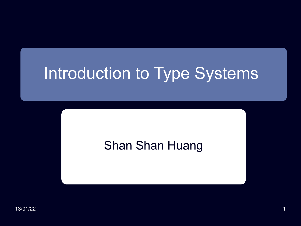# Introduction to Type Systems

#### Shan Shan Huang

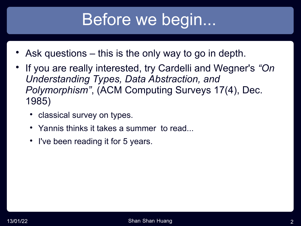## Before we begin...

- Ask questions this is the only way to go in depth.
- If you are really interested, try Cardelli and Wegner's *"On Understanding Types, Data Abstraction, and Polymorphism"*, (ACM Computing Surveys 17(4), Dec. 1985)
	- classical survey on types.
	- Yannis thinks it takes a summer to read...
	- I've been reading it for 5 years.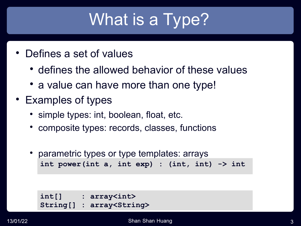# What is a Type?

- Defines a set of values
	- defines the allowed behavior of these values
	- a value can have more than one type!
- Examples of types
	- simple types: int, boolean, float, etc.
	- composite types: records, classes, functions
	- parametric types or type templates: arrays **int power(int a, int exp) : (int, int) -> int**

**int[] : array<int> String[] : array<String>**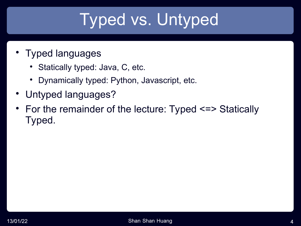# Typed vs. Untyped

- Typed languages
	- Statically typed: Java, C, etc.
	- Dynamically typed: Python, Javascript, etc.
- Untyped languages?
- For the remainder of the lecture: Typed <=> Statically Typed.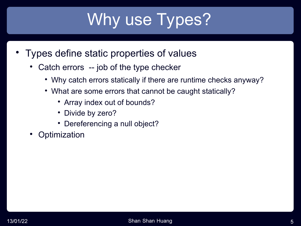# Why use Types?

- Types define static properties of values
	- Catch errors -- job of the type checker
		- Why catch errors statically if there are runtime checks anyway?
		- What are some errors that cannot be caught statically?
			- Array index out of bounds?
			- Divide by zero?
			- Dereferencing a null object?
	- **Optimization**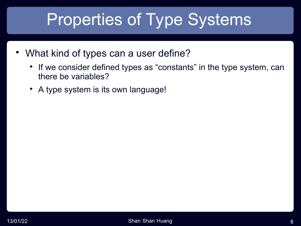# Properties of Type Systems

- What kind of types can a user define?
	- If we consider defined types as "constants" in the type system, can there be variables?
	- A type system is its own language!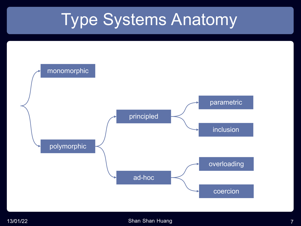## Type Systems Anatomy

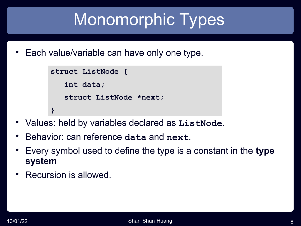# Monomorphic Types

Each value/variable can have only one type.

```
struct ListNode {
    int data;
    struct ListNode *next;
}
```
- Values: held by variables declared as **ListNode**.
- Behavior: can reference **data** and **next**.
- Every symbol used to define the type is a constant in the **type system**
- Recursion is allowed.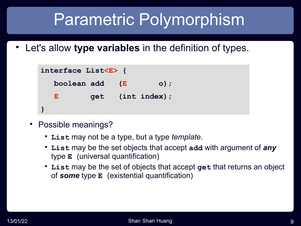## Parametric Polymorphism

Let's allow **type variables** in the definition of types.

```
interface List<E> {
boolean add (E 0);
  E    get (int index);
}
  List<E> (E E
```
- Possible meanings?
	- **List** may not be a type, but a type *template*.
	- **List** may be the set objects that accept **add** with argument of *any* type **E** (universal quantification)
	- **List** may be the set of objects that accept **get** that returns an object of *some* type **E** (existential quantification)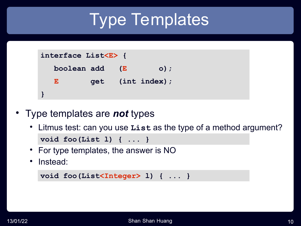# Type Templates

```
interface List<E> {
   boolean add (E o);
   E get (int index);
}
```
- Type templates are *not* types
	- Litmus test: can you use **List** as the type of a method argument? **void foo(List l) { ... }**
	- For type templates, the answer is NO
	- Instead:

```
void foo(List<Integer> l) { ... }
```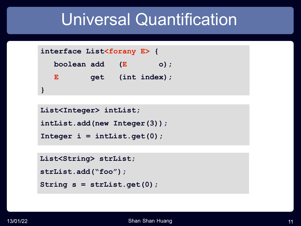### Universal Quantification

```
interface List<forany E> {
   boolean add (E o);
   E get (int index);
}
```

```
List<Integer> intList;
intList.add(new Integer(3));
Integer i = intList.get(0);
```

```
List<String> strList;
strList.add("foo");
String s = strList.get(0);
```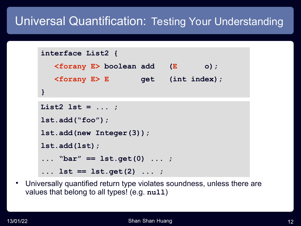#### Universal Quantification: Testing Your Understanding

```
interface List2 {
 boolean add (E o);
<forany E> boolean add (E o);
 E get (int index);
<forany E> E get (int index);
}
```

```
interface List2 {
List2 lst = ... ;lst.add("foo");
lst.add ("foo");
\texttt{lst.add(new Integer(3)};
}
lst.add(lst);
... "bar" == lst.get(0) ... ;
... lst == lst.get(2) ... ;
```
 Universally quantified return type violates soundness, unless there are values that belong to all types! (e.g. **null**)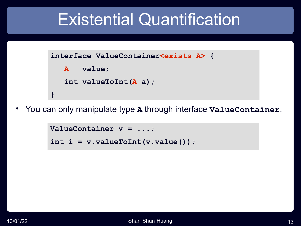### Existential Quantification

```
interface ValueContainer<exists A> {
    A value;
    int valueToInt(A a);
}
```
You can only manipulate type **A** through interface **ValueContainer**.

```
ValueContainer v = ...;
```

```
int i = v.valueToInt(v.value());
```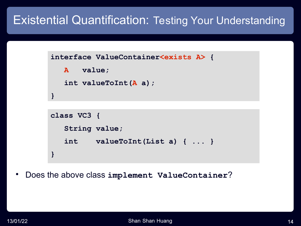#### Existential Quantification: Testing Your Understanding

```
interface ValueContainer<exists A> {
    A value;
    int valueToInt(A a);
}
```

```
class VC1 {
class VC2 {
 String value;
 List value;
VC3 String value;
 int valueToInt(String a) { ... }
 int valueToInt(List a) { ... }
valueToInt(List a) { ... }
}
}
```
Does the above class **implement ValueContainer**?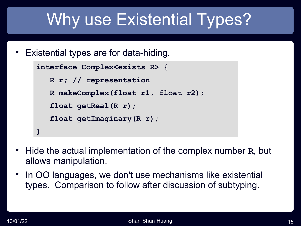# Why use Existential Types?

Existential types are for data-hiding.

```
interface Complex<exists R> {
   R r; // representation
    R makeComplex(float r1, float r2);
    float getReal(R r);
    float getImaginary(R r);
}
```
- Hide the actual implementation of the complex number **R**, but allows manipulation.
- In OO languages, we don't use mechanisms like existential types. Comparison to follow after discussion of subtyping.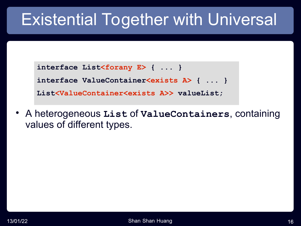## Existential Together with Universal

```
interface List<forany E> { ... }
interface ValueContainer<exists A> { ... }
List<ValueContainer<exists A>> valueList;
```
 A heterogeneous **List** of **ValueContainers**, containing values of different types.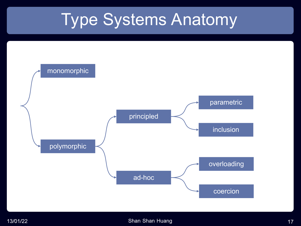## Type Systems Anatomy

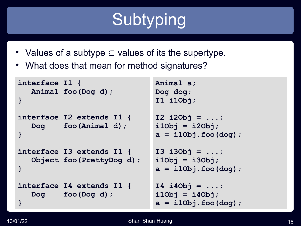# **Subtyping**

- Values of a subtype  $\subseteq$  values of its the supertype.
- What does that mean for method signatures?

```
interface I1 {
   Animal foo(Dog d);
}
interface I2 extends I1 {
   Dog foo(Animal d);
}
interface I3 extends I1 {
   Object foo(PrettyDog d);
}
interface I4 extends I1 {
   Dog foo(Dog d);
}
                               Animal a; 
                               Dog dog;
                                I1 i1Obj; 
                                I2 i2Obj = ...;
                                i1Obj = i2Obj;
                                a = i1Obj.foo(dog);
                                I3 i3Obj = ...;
                                i1Obj = i3Obj;
                                a = i1Obj.foo(dog);
                                I4 i4Obj = ...;
                                i1Obj = i4Obj;
                                a = i1Obj.foo(dog);
```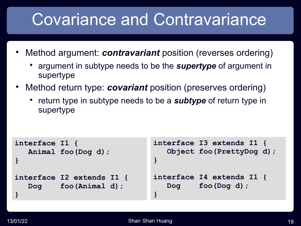## Covariance and Contravariance

- Method argument: *contravariant* position (reverses ordering)
	- argument in subtype needs to be the *supertype* of argument in supertype
- Method return type: *covariant* position (preserves ordering)
	- return type in subtype needs to be a **subtype** of return type in supertype

```
interface I1 {
   Animal foo(Dog d);
}
interface I2 extends I1 {
  Dog foo(Animal d);
}
                                interface I3 extends I1 {
                                    Object foo(PrettyDog d);
                                }
                                interface I4 extends I1 {
                                    Dog foo(Dog d);
                                }
```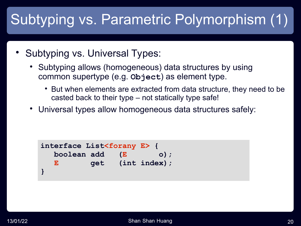### Subtyping vs. Parametric Polymorphism (1)

- Subtyping vs. Universal Types:
	- Subtyping allows (homogeneous) data structures by using common supertype (e.g. **Object**) as element type.
		- But when elements are extracted from data structure, they need to be casted back to their type – not statically type safe!
	- Universal types allow homogeneous data structures safely:

```
E get (int index);
interface List<forany E> {
   boolean add (E o);
}
```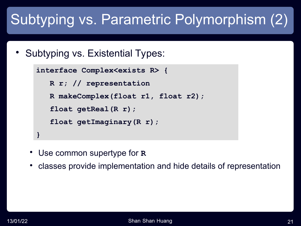### Subtyping vs. Parametric Polymorphism (2)

Subtyping vs. Existential Types:

```
interface Complex<exists R> {
   R r; // representation
    R makeComplex(float r1, float r2);
    float getReal(R r);
    float getImaginary(R r);
}
```
- Use common supertype for **R**
- classes provide implementation and hide details of representation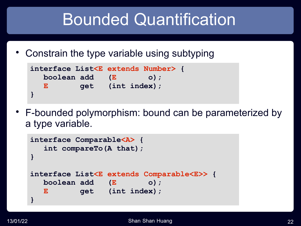## Bounded Quantification

Constrain the type variable using subtyping

```
interface List<E> {
List<E extends Number> {
   boolean add (E o);
   E get (int index);
}
```
 F-bounded polymorphism: bound can be parameterized by a type variable.

```
interface Comparable<A> {
   int compareTo(A that);
}
interface List<E extends Comparable<E>> {
   boolean add (E o);
  E get (int index);
}
```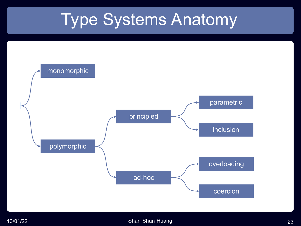## Type Systems Anatomy